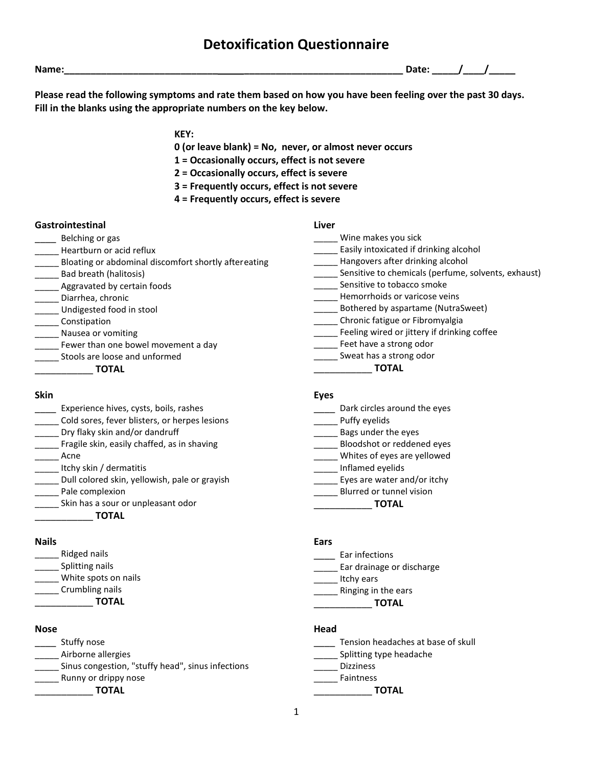## **Detoxification Questionnaire**

**Please read the following symptoms and rate them based on how you have been feeling over the past 30 days. Fill in the blanks using the appropriate numbers on the key below.**

**Name:\_\_\_\_\_\_\_\_\_\_\_\_\_\_\_\_\_\_\_\_\_\_\_\_\_\_\_\_\_ \_\_\_\_\_\_\_\_\_\_\_\_\_\_\_\_\_\_\_\_\_\_\_\_\_\_\_\_\_\_ Date: \_\_\_\_\_/\_\_\_\_/\_\_\_\_\_**

**KEY:**

- **0 (or leave blank) = No, never, or almost never occurs**
- **1 = Occasionally occurs, effect is not severe**
- **2 = Occasionally occurs, effect is severe**
- **3 = Frequently occurs, effect is not severe**
- **4 = Frequently occurs, effect is severe**

### **Gastrointestinal**

- \_\_\_\_ Belching or gas
- \_\_\_\_\_ Heartburn or acid reflux
- \_\_\_\_\_ Bloating or abdominal discomfort shortly aftereating
- \_\_\_\_\_ Bad breath (halitosis)
- **\_\_\_\_** Aggravated by certain foods
- \_\_\_\_\_ Diarrhea, chronic
- \_\_\_\_\_ Undigested food in stool
- \_\_\_\_\_ Constipation
- Nausea or vomiting
- **\_\_\_\_\_** Fewer than one bowel movement a day
- **LECT** Stools are loose and unformed

\_\_\_\_\_\_\_\_\_\_\_ **TOTAL**

### **Skin**

- **\_\_\_\_** Experience hives, cysts, boils, rashes
- \_\_\_\_\_ Cold sores, fever blisters, or herpes lesions
- Dry flaky skin and/or dandruff
- \_\_\_\_ Fragile skin, easily chaffed, as in shaving
- \_\_\_\_\_ Acne
- \_\_\_\_\_ Itchy skin / dermatitis
- Dull colored skin, yellowish, pale or grayish
- \_\_\_\_\_ Pale complexion
- \_\_\_\_\_ Skin has a sour or unpleasant odor
	- \_\_\_\_\_\_\_\_\_\_\_ **TOTAL**

### **Nails**

- \_\_\_\_\_ Ridged nails
- \_\_\_\_\_\_\_\_ Splitting nails
- \_\_\_\_\_ White spots on nails
	- \_\_\_\_\_ Crumbling nails
	- \_\_\_\_\_\_\_\_\_\_\_ **TOTAL**

### **Nose**

- \_\_\_\_ Stuffy nose
- \_\_\_\_\_ Airborne allergies
- \_\_\_\_\_ Sinus congestion, "stuffy head", sinus infections
- **Example 2** Runny or drippy nose
- \_\_\_\_\_\_\_\_\_\_\_ **TOTAL**

### **Eyes**

- \_\_\_\_\_ Dark circles around the eyes
- \_\_\_\_\_ Puffy eyelids
- \_\_\_\_\_ Bags under the eyes
- \_\_\_\_\_ Bloodshot or reddened eyes
- \_\_\_\_\_ Whites of eyes are yellowed
- \_\_\_\_\_ Inflamed eyelids
- **\_\_\_\_\_** Eyes are water and/or itchy
- **\_\_\_\_\_** Blurred or tunnel vision
	- \_\_\_\_\_\_\_\_\_\_\_ **TOTAL**

### **Ears**

- \_\_\_\_ Ear infections
- **\_\_\_\_\_** Ear drainage or discharge
- \_\_\_\_\_ Itchy ears
- **\_\_\_\_\_** Ringing in the ears
- \_\_\_\_\_\_\_\_\_\_\_ **TOTAL**

### **Head**

- **\_\_\_\_\_** Tension headaches at base of skull
- \_\_\_\_\_ Splitting type headache
- \_\_\_\_\_ Dizziness
- \_\_\_\_\_ Faintness

### \_\_\_\_\_\_\_\_\_\_\_ **TOTAL**

# **Liver**

- \_\_\_\_\_ Wine makes you sick **Easily intoxicated if drinking alcohol** \_\_\_\_\_ Hangovers after drinking alcohol Sensitive to chemicals (perfume, solvents, exhaust) Sensitive to tobacco smoke
	- **\_\_\_\_\_** Hemorrhoids or varicose veins
	- \_\_\_\_\_ Bothered by aspartame (NutraSweet)
	- \_\_\_\_\_ Chronic fatigue or Fibromyalgia
- **\_\_\_\_** Feeling wired or jittery if drinking coffee
- Feet have a strong odor
- \_\_\_\_\_ Sweat has a strong odor
	- \_\_\_\_\_\_\_\_\_\_\_ **TOTAL**